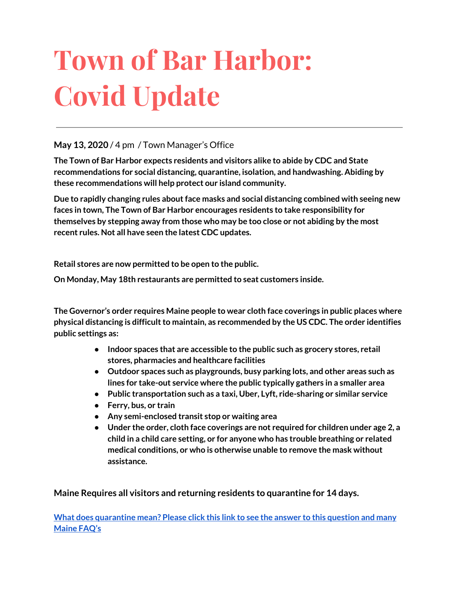# **Town of Bar Harbor: Covid Update**

#### **May 13, 2020** / 4 pm / Town Manager's Office

**The Town of Bar Harbor expects residents and visitors alike to abide by CDC and State recommendations for social distancing, quarantine, isolation, and handwashing. Abiding by these recommendations will help protect our island community.**

**Due to rapidly changing rules aboutface masks and social distancing combined with seeing new faces in town, The Town of Bar Harbor encourages residents to take responsibility for themselves by stepping away from those who may be too close or not abiding by the most recent rules. Not all have seen the latest CDC updates.**

**Retail stores are now permitted to be open to the public.**

**On Monday, May 18th restaurants are permitted to seat customers inside.**

**The Governor's order requires Maine people to wear cloth face coverings in public places where physical distancing is difficultto maintain, as recommended by the US CDC. The order identifies public settings as:**

- **● Indoor spaces that are accessible to the public such as grocery stores, retail stores, pharmacies and healthcare facilities**
- **● Outdoor spaces such as playgrounds, busy parking lots, and other areas such as lines for take-out service where the public typically gathers in a smaller area**
- **● Public transportation such as a taxi, Uber, Lyft, ride-sharing or similar service**
- **● Ferry, bus, or train**
- **● Any semi-enclosed transit stop or waiting area**
- **● Under the order, cloth face coverings are not required for children under age 2, a child in a child care setting, or for anyone who has trouble breathing or related medical conditions, or who is otherwise unable to remove the mask without assistance.**

**Maine Requires all visitors and returning residents to quarantine for 14 days.**

**What does [quarantine](https://www.maine.gov/dhhs/mecdc/infectious-disease/epi/airborne/coronavirus.shtml#faq) mean? Please click this link to see the answer to this question and many [Maine](https://www.maine.gov/dhhs/mecdc/infectious-disease/epi/airborne/coronavirus.shtml#faq) FAQ's**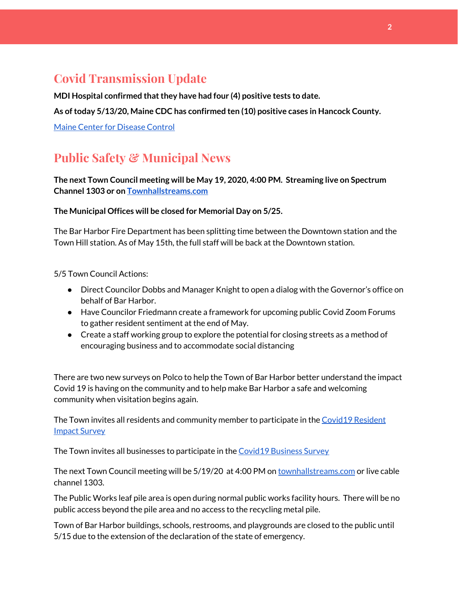# **Covid Transmission Update**

**MDI Hospital confirmed thatthey have had four (4) positive tests to date.**

**As oftoday 5/13/20, Maine CDC has confirmed ten (10) positive cases in Hancock County.**

Maine Center for [Disease](https://www.maine.gov/dhhs/mecdc/infectious-disease/epi/airborne/coronavirus.shtml) Control

# **Public Safety & Municipal News**

**The next Town Council meeting will be May 19, 2020, 4:00 PM. Streaming live on Spectrum Channel 1303 or on [Townhallstreams.com](http://townhallstreams.com/)**

#### **The Municipal Offices will be closed for Memorial Day on 5/25.**

The Bar Harbor Fire Department has been splitting time between the Downtown station and the Town Hill station. As of May 15th, the full staff will be back at the Downtown station.

5/5 Town Council Actions:

- Direct Councilor Dobbs and Manager Knight to open a dialog with the Governor's office on behalf of Bar Harbor.
- Have Councilor Friedmann create a framework for upcoming public Covid Zoom Forums to gather resident sentiment at the end of May.
- Create a staff working group to explore the potential for closing streets as a method of encouraging business and to accommodate social distancing

There are two new surveys on Polco to help the Town of Bar Harbor better understand the impact Covid 19 is having on the community and to help make Bar Harbor a safe and welcoming community when visitation begins again.

The Town invites all residents and community member to participate in th[e](https://polco.us/surveys/90178e75-6be4-45c6-819c-07052b97ab32?iid=9dedcb78-dd36-40ed-a81b-a88709e391cc) Covid19 [Resident](https://polco.us/surveys/90178e75-6be4-45c6-819c-07052b97ab32?iid=9dedcb78-dd36-40ed-a81b-a88709e391cc) Impact [Survey](https://polco.us/surveys/90178e75-6be4-45c6-819c-07052b97ab32?iid=9dedcb78-dd36-40ed-a81b-a88709e391cc)

The Town invites all businesses to participate in the Covid19 [Business](https://polco.us/surveys/96ab7f5d-a644-42b5-965d-f4a3d11c6ea7?iid=9dedcb78-dd36-40ed-a81b-a88709e391cc) Survey

The next Town Council meeting will be 5/19/20 at 4:00 PM on [townhallstreams.com](http://townhallstreams.com/) or live cable channel 1303.

The Public Works leaf pile area is open during normal public works facility hours. There will be no public access beyond the pile area and no access to the recycling metal pile.

Town of Bar Harbor buildings, schools, restrooms, and playgrounds are closed to the public until 5/15 due to the extension of the declaration of the state of emergency.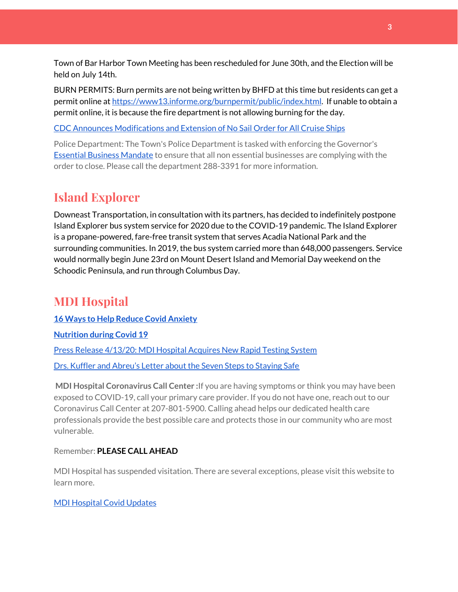Town of Bar Harbor Town Meeting has been rescheduled for June 30th, and the Election will be held on July 14th.

BURN PERMITS: Burn permits are not being written by BHFD at this time but residents can get a permit online at [https://www13.informe.org/burnpermit/public/index.html.](https://www13.informe.org/burnpermit/public/index.html) If unable to obtain a permit online, it is because the fire department is not allowing burning for the day.

CDC Announces [Modifications](https://www.cdc.gov/media/releases/2020/s0409-modifications-extension-no-sail-ships.html) and Extension of No Sail Order for All Cruise Ships

Police Department: The Town's Police Department is tasked with enforcing the Governor's Essential Business [Mandate](https://www.maine.gov/governor/mills/sites/maine.gov.governor.mills/files/inline-files/An%20Order%20Regarding%20Essential%20Businesses%20and%20Operations%20.pdf) to ensure that all non essential businesses are complying with the order to close. Please call the department 288-3391 for more information.

# **Island Explorer**

Downeast Transportation, in consultation with its partners, has decided to indefinitely postpone Island Explorer bus system service for 2020 due to the COVID-19 pandemic. The Island Explorer is a propane-powered, fare-free transit system that serves Acadia National Park and the surrounding communities. In 2019, the bus system carried more than 648,000 passengers. Service would normally begin June 23rd on Mount Desert Island and Memorial Day weekend on the Schoodic Peninsula, and run through Columbus Day.

# **MDI Hospital**

**16 Ways to Help Reduce Covid [Anxiety](https://www.mdihospital.org/news/16-ways-to-help-reduce-covid-19-anxiety/)**

**[Nutrition](https://www.mdihospital.org/news/16-ways-to-help-reduce-covid-19-anxiety/) during Covid 19**

Press Release [4/13/20:](https://www.mdihospital.org/news/mount-desert-island-hospital-acquires-cepheid-genexpert-rapid-point-of-care-testing-system-for-the-new-coronavirus-and-many-other-infectious-diseases/) MDI Hospital Acquires New Rapid Testing System

Drs. Kuffler and [Abreu's](https://www.mdislander.com/opinions/commentary-seven-steps-to-staying-safe) Letter about the Seven Steps to Staying Safe

**MDI Hospital Coronavirus Call Center :**If you are having symptoms or think you may have been exposed to COVID-19, call your primary care provider. If you do not have one, reach out to our Coronavirus Call Center at 207-801-5900. Calling ahead helps our dedicated health care professionals provide the best possible care and protects those in our community who are most vulnerable.

Remember: **PLEASE CALL AHEAD**

MDI Hospital has suspended visitation. There are several exceptions, please visit this website to learn more.

#### MDI [Hospital](https://www.mdihospital.org/covid-19/?fbclid=IwAR2Q31t4a6H1pxDfUeqSzFcmp5UbRlSwe93i58zEkHstfexp5EgoHB5cxGU) Covid Updates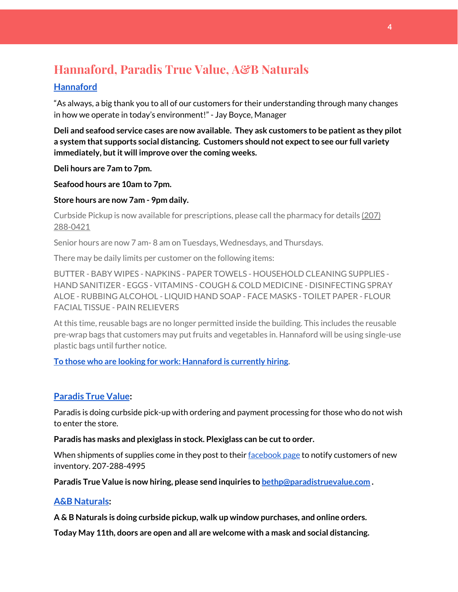# **Hannaford, Paradis True Value, A&B Naturals**

#### **[Hannaford](https://www.hannaford.com/locations/bar-harbor-hannaford-21051)**

"As always, a big thank you to all of our customers for their understanding through many changes in how we operate in today's environment!" - Jay Boyce, Manager

**Deli and seafood service cases are now available. They ask customers to be patient as they pilot a system that supports social distancing. Customers should not expectto see our full variety immediately, butit will improve over the coming weeks.**

**Deli hours are 7am to 7pm.**

**Seafood hours are 10am to 7pm.**

**Store hours are now 7am - 9pm daily.**

Curbside Pickup is now available for prescriptions, please call the pharmacy for details [\(207\)](https://www.google.com/search?client=firefox-b-1-d&q=hannaford+pharmacy+bar+harbor#) [288-0421](https://www.google.com/search?client=firefox-b-1-d&q=hannaford+pharmacy+bar+harbor#)

Senior hours are now 7 am- 8 am on Tuesdays, Wednesdays, and Thursdays.

There may be daily limits per customer on the following items:

BUTTER - BABY WIPES - NAPKINS - PAPER TOWELS - HOUSEHOLD CLEANING SUPPLIES - HAND SANITIZER - EGGS - VITAMINS - COUGH & COLD MEDICINE - DISINFECTING SPRAY ALOE - RUBBING ALCOHOL - LIQUID HAND SOAP - FACE MASKS - TOILET PAPER - FLOUR FACIAL TISSUE - PAIN RELIEVERS

At this time, reusable bags are no longer permitted inside the building. This includes the reusable pre-wrap bags that customers may put fruits and vegetables in. Hannaford will be using single-use plastic bags until further notice.

**To those who are looking for work: [Hannaford](https://www.hannaford.com/about-us/careers) is currently hiring.**

#### **[Paradis](https://www.facebook.com/ParadisTrueValue/) True Value:**

Paradis is doing curbside pick-up with ordering and payment processing for those who do not wish to enter the store.

**Paradis has masks and plexiglass in stock. Plexiglass can be cutto order.**

When shipments of supplies come in they post to their [facebook](https://www.facebook.com/ParadisTrueValue/) page to notify customers of new inventory. 207-288-4995

**Paradis True Value is now hiring, please send inquiries to [bethp@paradistruevalue.com](mailto:bethp@paradistruevalue.com) .**

#### **A&B [Naturals:](http://aandbnaturals.com/)**

**A & B Naturals is doing curbside pickup, walk up window purchases, and online orders.**

**Today May 11th, doors are open and all are welcome with a mask and social distancing.**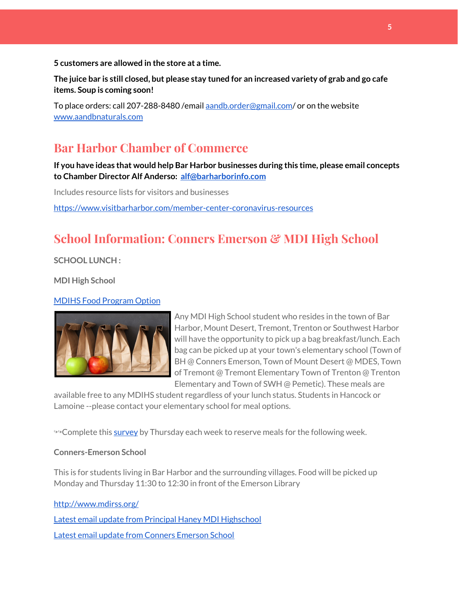**5 customers are allowed in the store at a time.**

The juice bar is still closed, but please stay tuned for an increased variety of grab and go cafe **items. Soup is coming soon!**

To place orders: call 207-288-8480 /email [aandb.order@gmail.com](mailto:aandb.order@gmail.com)/ or on the website [www.aandbnaturals.com](http://www.aandbnaturals.com/)

## **Bar Harbor Chamber of Commerce**

**If you have ideas that would help Bar Harbor businesses during this time, please email concepts to Chamber Director Alf Anderso: [alf@barharborinfo.com](mailto:alf@barharborinfo.com)**

Includes resource lists for visitors and businesses

<https://www.visitbarharbor.com/member-center-coronavirus-resources>

# **School Information: Conners Emerson & MDI High School**

**SCHOOL LUNCH :**

**MDI High School**

#### MDIHS Food [Program](http://www.createsurvey.com/c/83380-7yUuuZ/) Option



Any MDI High School student who resides in the town of Bar Harbor, Mount Desert, Tremont, Trenton or Southwest Harbor will have the opportunity to pick up a bag breakfast/lunch. Each bag can be picked up at your town's elementary school (Town of BH @ Conners Emerson, Town of Mount Desert @ MDES, Town of Tremont @ Tremont Elementary Town of Trenton @ Trenton Elementary and Town of SWH @ Pemetic). These meals are

available free to any MDIHS student regardless of your lunch status. Students in Hancock or Lamoine --please contact your elementary school for meal options.

<sup>→→</sup>Complete this [survey](http://www.createsurvey.com/c/83380-7yUuuZ/) by Thursday each week to reserve meals for the following week.

#### **Conners-Emerson School**

This is for students living in Bar Harbor and the surrounding villages. Food will be picked up Monday and Thursday 11:30 to 12:30 in front of the Emerson Library

<http://www.mdirss.org/> Latest email update from Principal Haney MDI [Highschool](https://docs.google.com/document/d/1OKDsYNtOgV0FI9xAcXwQvenOKLV0S2vBg1o5jtu5CrE/edit?usp=sharing) Latest email update from Conners [Emerson](https://docs.google.com/document/d/1v3pgkG6Q-9S3gisuUIj4etPVDwgBKl4P00JBkvZr-kk/edit?usp=sharing) School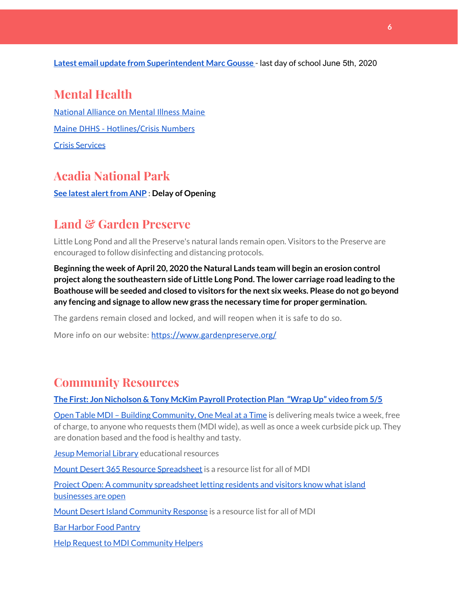**Latest email update from [Superintendent](https://docs.google.com/document/d/1fzeCbc8gpTSKmUaDoQH1Avx5PVl-h0reFphXrT1eUNA/edit?usp=sharing) Marc Gousse -** last day of school June 5th, 2020

## **Mental Health**

[National Alliance on Mental Illness Maine](https://www.namimaine.org/) [Maine DHHS - Hotlines/Crisis Numbers](https://www.maine.gov/dhhs/hotlines.shtml) Crisis [Services](https://www.sweetser.org/programs-services/services-for-adults/crisis-services/)

## **Acadia National Park**

**See latest [alertfrom](https://www.nps.gov/acad/learn/news/delaying-start-up-operations.htm) ANP : Delay of Opening**

## **Land & Garden Preserve**

Little Long Pond and all the Preserve's natural lands remain open. Visitors to the Preserve are encouraged to follow disinfecting and distancing protocols.

**Beginning the week of April 20, 2020 the Natural Lands team will begin an erosion control project along the southeastern side of Little Long Pond. The lower carriage road leading to the Boathouse will be seeded and closed to visitors for the next six weeks. Please do not go beyond any fencing and signage to allow new grass the necessary time for proper germination.**

The gardens remain closed and locked, and will reopen when it is safe to do so.

More info on our website: <https://www.gardenpreserve.org/>

## **Community Resources**

**The First: Jon Nicholson & Tony McKim Payroll [Protection](https://bit.ly/2WjDrd0) Plan "Wrap Up" video from 5/5**

Open Table MDI – Building [Community,](https://www.opentablemdi.org/) One Meal at a Time is delivering meals twice a week, free of charge, to anyone who requests them (MDI wide), as well as once a week curbside pick up. They are donation based and the food is healthy and tasty.

Jesup [Memorial](https://jesuplibrary.org/) Library educational resources

Mount Desert 365 Resource [Spreadsheet](https://docs.google.com/spreadsheets/d/1okAx6HSsgXZY9CGH07Dzi6rqe7a6m4dLCPKot2Li7Ek/edit?usp=sharing) is a resource list for all of MDI

Project Open: A community [spreadsheet](https://docs.google.com/spreadsheets/d/1dBicBiBXGzzWEFd9oqL7EBDbFWjDCPl6SSMea_Kt4pc/htmlview#) letting residents and visitors know what island [businesses](https://docs.google.com/spreadsheets/d/1dBicBiBXGzzWEFd9oqL7EBDbFWjDCPl6SSMea_Kt4pc/htmlview#) are open

Mount Desert Island [Community](https://www.mdicr.org/) Response is a resource list for all of MDI

Bar [Harbor](https://www.barharborfoodpantry.org/) Food Pantry

Help Request to MDI [Community](https://docs.google.com/forms/d/e/1FAIpQLSeZfu0tCcthHc9oL7tPomVRdniYiE7nbT_kkK9iCSRgqDhOvQ/viewform) Helpers